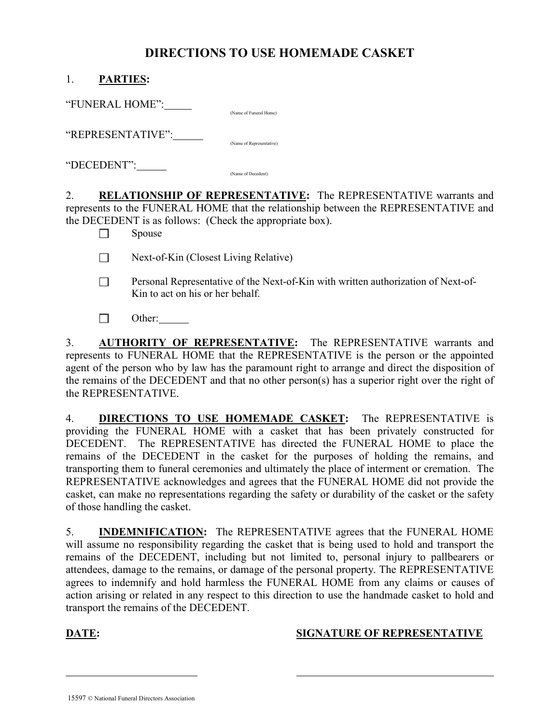## DIRECTIONS TO USE HOMEMADE CASKET

| <b>PARTIES:</b>   |                          |
|-------------------|--------------------------|
| "FUNERAL HOME":   | (Name of Funeral Home)   |
| "REPRESENTATIVE": | (Name of Representative) |
| "DECEDENT":       | (Name of Decedent)       |

2. RELATIONSHIP OF REPRESENTATIVE: The REPRESENTATIVE warrants and represents to the FUNERAL HOME that the relationship between the REPRESENTATIVE and the DECEDENT is as follows: (Check the appropriate box).

 $\Box$  Spouse

Next-of-Kin (Closest Living Relative)

- □ Personal Representative of the Next-of-Kin with written authorization of Next-of-Kin to act on his or her behalf.
- $\Box$  Other:

3. **AUTHORITY OF REPRESENTATIVE:** The REPRESENTATIVE warrants and represents to FUNERAL HOME that the REPRESENTATIVE is the person or the appointed agent of the person who by law has the paramount right to arrange and direct the disposition of the remains of the DECEDENT and that no other person(s) has a superior right over the right of the REPRESENTATIVE.

4. **DIRECTIONS TO USE HOMEMADE CASKET:** The REPRESENTATIVE is providing the FUNERAL HOME with a casket that has been privately constructed for DECEDENT. The REPRESENTATIVE has directed the FUNERAL HOME to place the remains of the DECEDENT in the casket for the purposes of holding the remains, and transporting them to funeral ceremonies and ultimately the place of interment or cremation. The REPRESENTATIVE acknowledges and agrees that the FUNERAL HOME did not provide the casket, can make no representations regarding the safety or durability of the casket or the safety of those handling the casket.

5. **INDEMNIFICATION:** The REPRESENTATIVE agrees that the FUNERAL HOME will assume no responsibility regarding the casket that is being used to hold and transport the remains of the DECEDENT, including but not limited to, personal injury to pallbearers or attendees, damage to the remains, or damage of the personal property. The REPRESENTATIVE agrees to indemnify and hold harmless the FUNERAL HOME from any claims or causes of action arising or related in any respect to this direction to use the handmade casket to hold and transport the remains of the DECEDENT.

 $\overline{a}$ 

## DATE: SIGNATURE OF REPRESENTATIVE